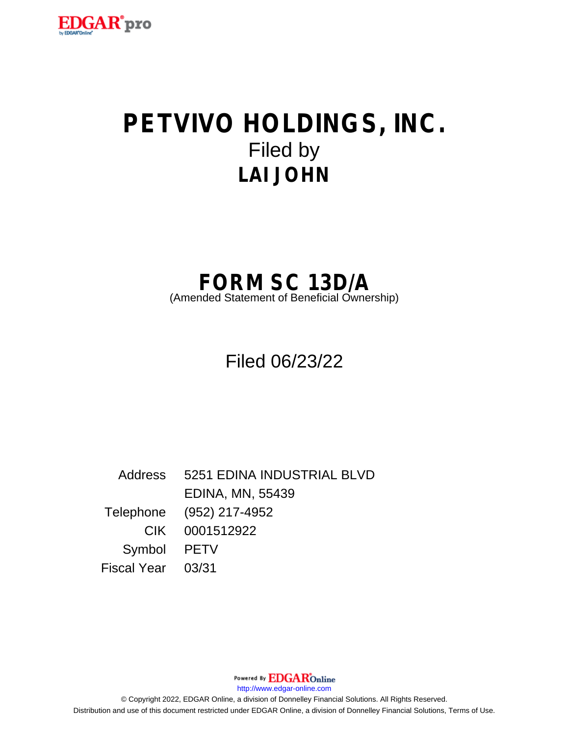

# **PETVIVO HOLDINGS, INC.** Filed by **LAI JOHN**

# **FORM SC 13D/A**

(Amended Statement of Beneficial Ownership)

Filed 06/23/22

Address 5251 EDINA INDUSTRIAL BLVD EDINA, MN, 55439 Telephone (952) 217-4952 CIK 0001512922 Symbol PETV Fiscal Year 03/31

Powered By **EDGAR**Online

http://www.edgar-online.com

© Copyright 2022, EDGAR Online, a division of Donnelley Financial Solutions. All Rights Reserved. Distribution and use of this document restricted under EDGAR Online, a division of Donnelley Financial Solutions, Terms of Use.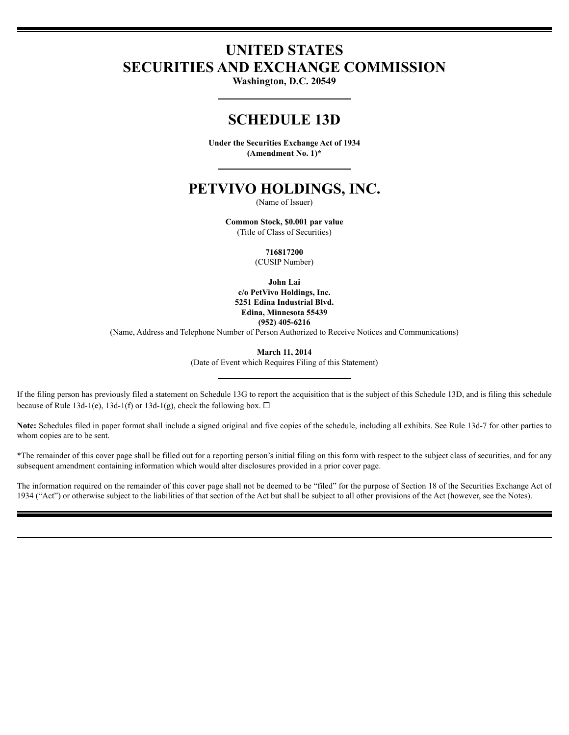## **UNITED STATES SECURITIES AND EXCHANGE COMMISSION**

Washington, D.C. 20549

### **SCHEDULE 13D**

Under the Securities Exchange Act of 1934 (Amendment No. 1)\*

### PETVIVO HOLDINGS, INC.

(Name of Issuer)

Common Stock, \$0.001 par value (Title of Class of Securities)

716817200

(CUSIP Number)

John Lai

c/o PetVivo Holdings, Inc. 5251 Edina Industrial Blvd. Edina, Minnesota 55439  $(952)$  405-6216

(Name, Address and Telephone Number of Person Authorized to Receive Notices and Communications)

March 11, 2014

(Date of Event which Requires Filing of this Statement)

If the filing person has previously filed a statement on Schedule 13G to report the acquisition that is the subject of this Schedule 13D, and is filing this schedule because of Rule 13d-1(e), 13d-1(f) or 13d-1(g), check the following box.  $\Box$ 

Note: Schedules filed in paper format shall include a signed original and five copies of the schedule, including all exhibits. See Rule 13d-7 for other parties to whom copies are to be sent.

\*The remainder of this cover page shall be filled out for a reporting person's initial filing on this form with respect to the subject class of securities, and for any subsequent amendment containing information which would alter disclosures provided in a prior cover page.

The information required on the remainder of this cover page shall not be deemed to be "filed" for the purpose of Section 18 of the Securities Exchange Act of 1934 ("Act") or otherwise subject to the liabilities of that section of the Act but shall be subject to all other provisions of the Act (however, see the Notes).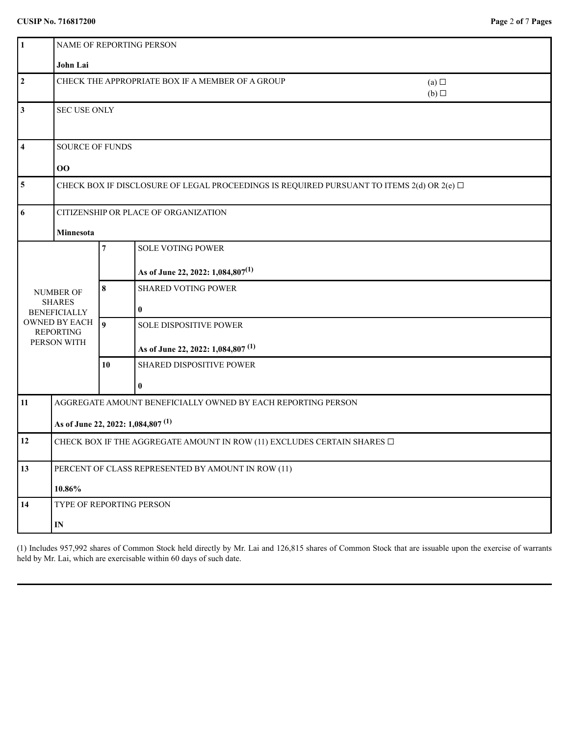| $\vert$ 1                                                                                                           | <b>NAME OF REPORTING PERSON</b>                                                                               |                  |                                                                                |            |
|---------------------------------------------------------------------------------------------------------------------|---------------------------------------------------------------------------------------------------------------|------------------|--------------------------------------------------------------------------------|------------|
|                                                                                                                     | John Lai                                                                                                      |                  |                                                                                |            |
| $\overline{2}$                                                                                                      |                                                                                                               |                  | CHECK THE APPROPRIATE BOX IF A MEMBER OF A GROUP                               | (a)<br>(b) |
| $\mathbf{3}$                                                                                                        | <b>SEC USE ONLY</b>                                                                                           |                  |                                                                                |            |
| $\overline{\mathbf{4}}$                                                                                             | SOURCE OF FUNDS<br>$\bf{00}$                                                                                  |                  |                                                                                |            |
| $\sqrt{5}$                                                                                                          | CHECK BOX IF DISCLOSURE OF LEGAL PROCEEDINGS IS REQUIRED PURSUANT TO ITEMS 2(d) OR 2(e) $\Box$                |                  |                                                                                |            |
| 6                                                                                                                   | CITIZENSHIP OR PLACE OF ORGANIZATION<br>Minnesota                                                             |                  |                                                                                |            |
| <b>NUMBER OF</b><br><b>SHARES</b><br><b>BENEFICIALLY</b><br><b>OWNED BY EACH</b><br><b>REPORTING</b><br>PERSON WITH |                                                                                                               | 7                | <b>SOLE VOTING POWER</b><br>As of June 22, 2022: 1,084,807 <sup>(1)</sup>      |            |
|                                                                                                                     |                                                                                                               | 8                | <b>SHARED VOTING POWER</b><br>$\bf{0}$                                         |            |
|                                                                                                                     |                                                                                                               | $\boldsymbol{9}$ | <b>SOLE DISPOSITIVE POWER</b><br>As of June 22, 2022: 1,084,807 <sup>(1)</sup> |            |
|                                                                                                                     |                                                                                                               | 10               | SHARED DISPOSITIVE POWER<br>$\bf{0}$                                           |            |
| 11                                                                                                                  | AGGREGATE AMOUNT BENEFICIALLY OWNED BY EACH REPORTING PERSON<br>As of June 22, 2022: 1,084,807 <sup>(1)</sup> |                  |                                                                                |            |
| 12                                                                                                                  | CHECK BOX IF THE AGGREGATE AMOUNT IN ROW (11) EXCLUDES CERTAIN SHARES $\square$                               |                  |                                                                                |            |
| 13                                                                                                                  | PERCENT OF CLASS REPRESENTED BY AMOUNT IN ROW (11)<br>10.86%                                                  |                  |                                                                                |            |
| 14                                                                                                                  | TYPE OF REPORTING PERSON<br>$\mathbf{IN}$                                                                     |                  |                                                                                |            |

(1) Includes 957,992 shares of Common Stock held directly by Mr. Lai and 126,815 shares of Common Stock that are issuable upon the exercise of warrants held by Mr. Lai, which are exercisable within 60 days of such date.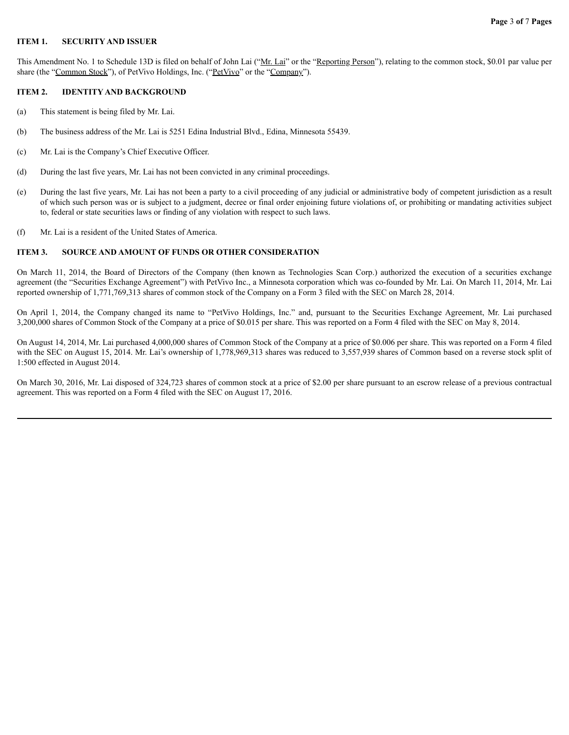#### **ITEM 1. SECURITY AND ISSUER**

This Amendment No. 1 to Schedule 13D is filed on behalf of John Lai ("Mr. Lai" or the "Reporting Person"), relating to the common stock, \$0.01 par value per share (the "Common Stock"), of PetVivo Holdings, Inc. ("PetVivo" or the "Company").

#### **ITEM 2. IDENTITY AND BACKGROUND**

- (a) This statement is being filed by Mr. Lai.
- (b) The business address of the Mr. Lai is 5251 Edina Industrial Blvd., Edina, Minnesota 55439.
- (c) Mr. Lai is the Company's Chief Executive Officer.
- (d) During the last five years, Mr. Lai has not been convicted in any criminal proceedings.
- (e) During the last five years, Mr. Lai has not been a party to a civil proceeding of any judicial or administrative body of competent jurisdiction as a result of which such person was or is subject to a judgment, decree or final order enjoining future violations of, or prohibiting or mandating activities subject to, federal or state securities laws or finding of any violation with respect to such laws.
- (f) Mr. Lai is a resident of the United States of America.

#### **ITEM 3. SOURCE AND AMOUNT OF FUNDS OR OTHER CONSIDERATION**

On March 11, 2014, the Board of Directors of the Company (then known as Technologies Scan Corp.) authorized the execution of a securities exchange agreement (the "Securities Exchange Agreement") with PetVivo Inc., a Minnesota corporation which was co-founded by Mr. Lai. On March 11, 2014, Mr. Lai reported ownership of 1,771,769,313 shares of common stock of the Company on a Form 3 filed with the SEC on March 28, 2014.

On April 1, 2014, the Company changed its name to "PetVivo Holdings, Inc." and, pursuant to the Securities Exchange Agreement, Mr. Lai purchased 3,200,000 shares of Common Stock of the Company at a price of \$0.015 per share. This was reported on a Form 4 filed with the SEC on May 8, 2014.

On August 14, 2014, Mr. Lai purchased 4,000,000 shares of Common Stock of the Company at a price of \$0.006 per share. This was reported on a Form 4 filed with the SEC on August 15, 2014. Mr. Lai's ownership of 1,778,969,313 shares was reduced to 3,557,939 shares of Common based on a reverse stock split of 1:500 effected in August 2014.

On March 30, 2016, Mr. Lai disposed of 324,723 shares of common stock at a price of \$2.00 per share pursuant to an escrow release of a previous contractual agreement. This was reported on a Form 4 filed with the SEC on August 17, 2016.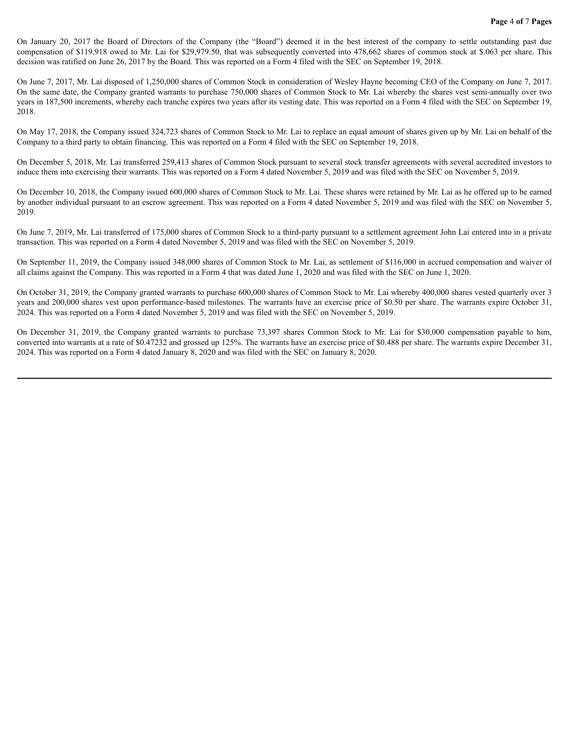On January 20, 2017 the Board of Directors of the Company (the "Board") deemed it in the best interest of the company to settle outstanding past due compensation of \$119,918 owed to Mr. Lai for \$29,979.50, that was subsequently converted into 478,662 shares of common stock at \$.063 per share. This decision was ratified on June 26, 2017 by the Board. This was reported on a Form 4 filed with the SEC on September 19, 2018.

On June 7, 2017, Mr. Lai disposed of 1,250,000 shares of Common Stock in consideration of Wesley Hayne becoming CEO of the Company on June 7, 2017. On the same date, the Company granted warrants to purchase 750,000 shares of Common Stock to Mr. Lai whereby the shares vest semi-annually over two years in 187,500 increments, whereby each tranche expires two years after its vesting date. This was reported on a Form 4 filed with the SEC on September 19, 2018.

On May 17, 2018, the Company issued 324,723 shares of Common Stock to Mr. Lai to replace an equal amount of shares given up by Mr. Lai on behalf of the Company to a third party to obtain financing. This was reported on a Form 4 filed with the SEC on September 19, 2018.

On December 5, 2018, Mr. Lai transferred 259,413 shares of Common Stock pursuant to several stock transfer agreements with several accredited investors to induce them into exercising their warrants. This was reported on a Form 4 dated November 5, 2019 and was filed with the SEC on November 5, 2019.

On December 10, 2018, the Company issued 600,000 shares of Common Stock to Mr. Lai. These shares were retained by Mr. Lai as he offered up to be earned by another individual pursuant to an escrow agreement. This was reported on a Form 4 dated November 5, 2019 and was filed with the SEC on November 5, 2019.

On June 7, 2019, Mr. Lai transferred of 175,000 shares of Common Stock to a third-party pursuant to a settlement agreement John Lai entered into in a private transaction. This was reported on a Form 4 dated November 5, 2019 and was filed with the SEC on November 5, 2019.

On September 11, 2019, the Company issued 348,000 shares of Common Stock to Mr. Lai, as settlement of \$116,000 in accrued compensation and waiver of all claims against the Company. This was reported in a Form 4 that was dated June 1, 2020 and was filed with the SEC on June 1, 2020.

On October 31, 2019, the Company granted warrants to purchase 600,000 shares of Common Stock to Mr. Lai whereby 400,000 shares vested quarterly over 3 years and 200,000 shares vest upon performance-based milestones. The warrants have an exercise price of \$0.50 per share. The warrants expire October 31, 2024. This was reported on a Form 4 dated November 5, 2019 and was filed with the SEC on November 5, 2019.

On December 31, 2019, the Company granted warrants to purchase 73,397 shares Common Stock to Mr. Lai for \$30,000 compensation payable to him, converted into warrants at a rate of \$0.47232 and grossed up 125%. The warrants have an exercise price of \$0.488 per share. The warrants expire December 31, 2024. This was reported on a Form 4 dated January 8, 2020 and was filed with the SEC on January 8, 2020.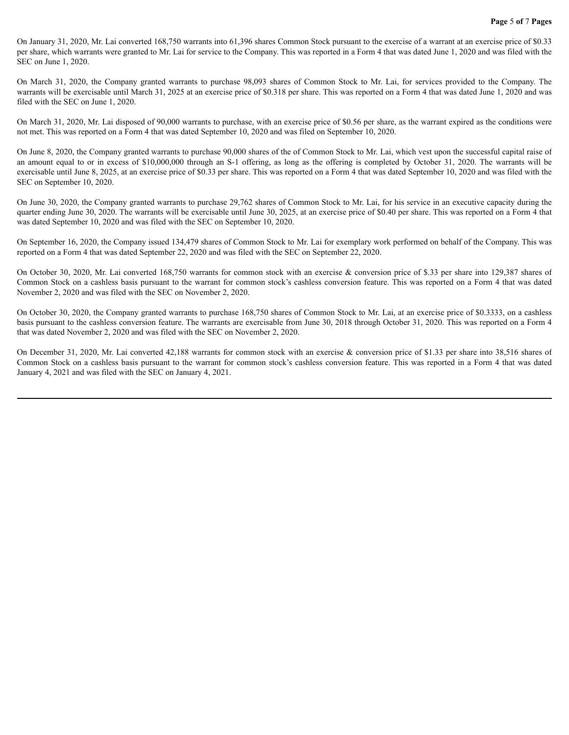On January 31, 2020, Mr. Lai converted 168,750 warrants into 61,396 shares Common Stock pursuant to the exercise of a warrant at an exercise price of \$0.33 per share, which warrants were granted to Mr. Lai for service to the Company. This was reported in a Form 4 that was dated June 1, 2020 and was filed with the SEC on June 1, 2020.

On March 31, 2020, the Company granted warrants to purchase 98,093 shares of Common Stock to Mr. Lai, for services provided to the Company. The warrants will be exercisable until March 31, 2025 at an exercise price of \$0.318 per share. This was reported on a Form 4 that was dated June 1, 2020 and was filed with the SEC on June 1, 2020.

On March 31, 2020, Mr. Lai disposed of 90,000 warrants to purchase, with an exercise price of \$0.56 per share, as the warrant expired as the conditions were not met. This was reported on a Form 4 that was dated September 10, 2020 and was filed on September 10, 2020.

On June 8, 2020, the Company granted warrants to purchase 90,000 shares of the of Common Stock to Mr. Lai, which vest upon the successful capital raise of an amount equal to or in excess of \$10,000,000 through an S-1 offering, as long as the offering is completed by October 31, 2020. The warrants will be exercisable until June 8, 2025, at an exercise price of \$0.33 per share. This was reported on a Form 4 that was dated September 10, 2020 and was filed with the SEC on September 10, 2020.

On June 30, 2020, the Company granted warrants to purchase 29,762 shares of Common Stock to Mr. Lai, for his service in an executive capacity during the quarter ending June 30, 2020. The warrants will be exercisable until June 30, 2025, at an exercise price of \$0.40 per share. This was reported on a Form 4 that was dated September 10, 2020 and was filed with the SEC on September 10, 2020.

On September 16, 2020, the Company issued 134,479 shares of Common Stock to Mr. Lai for exemplary work performed on behalf of the Company. This was reported on a Form 4 that was dated September 22, 2020 and was filed with the SEC on September 22, 2020.

On October 30, 2020, Mr. Lai converted 168,750 warrants for common stock with an exercise & conversion price of \$.33 per share into 129,387 shares of Common Stock on a cashless basis pursuant to the warrant for common stock's cashless conversion feature. This was reported on a Form 4 that was dated November 2, 2020 and was filed with the SEC on November 2, 2020.

On October 30, 2020, the Company granted warrants to purchase 168,750 shares of Common Stock to Mr. Lai, at an exercise price of \$0.3333, on a cashless basis pursuant to the cashless conversion feature. The warrants are exercisable from June 30, 2018 through October 31, 2020. This was reported on a Form 4 that was dated November 2, 2020 and was filed with the SEC on November 2, 2020.

On December 31, 2020, Mr. Lai converted 42,188 warrants for common stock with an exercise & conversion price of \$1.33 per share into 38,516 shares of Common Stock on a cashless basis pursuant to the warrant for common stock's cashless conversion feature. This was reported in a Form 4 that was dated January 4, 2021 and was filed with the SEC on January 4, 2021.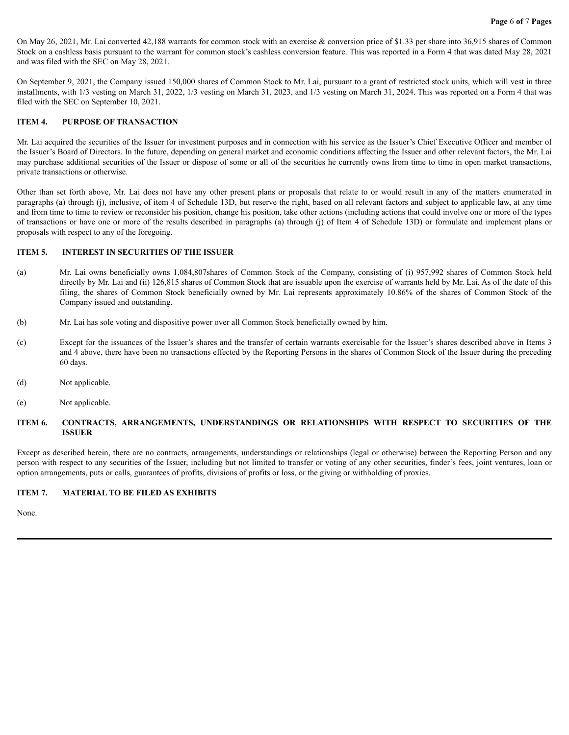On May 26, 2021, Mr. Lai converted 42,188 warrants for common stock with an exercise & conversion price of \$1.33 per share into 36,915 shares of Common Stock on a cashless basis pursuant to the warrant for common stock's cashless conversion feature. This was reported in a Form 4 that was dated May 28, 2021 and was filed with the SEC on May 28, 2021.

On September 9, 2021, the Company issued 150,000 shares of Common Stock to Mr. Lai, pursuant to a grant of restricted stock units, which will vest in three installments, with 1/3 vesting on March 31, 2022, 1/3 vesting on March 31, 2023, and 1/3 vesting on March 31, 2024. This was reported on a Form 4 that was filed with the SEC on September 10, 2021.

#### **ITEM 4. PURPOSE OF TRANSACTION**

Mr. Lai acquired the securities of the Issuer for investment purposes and in connection with his service as the Issuer's Chief Executive Officer and member of the Issuer's Board of Directors. In the future, depending on general market and economic conditions affecting the Issuer and other relevant factors, the Mr. Lai may purchase additional securities of the Issuer or dispose of some or all of the securities he currently owns from time to time in open market transactions, private transactions or otherwise.

Other than set forth above, Mr. Lai does not have any other present plans or proposals that relate to or would result in any of the matters enumerated in paragraphs (a) through (j), inclusive, of item 4 of Schedule 13D, but reserve the right, based on all relevant factors and subject to applicable law, at any time and from time to time to review or reconsider his position, change his position, take other actions (including actions that could involve one or more of the types of transactions or have one or more of the results described in paragraphs (a) through (j) of Item 4 of Schedule 13D) or formulate and implement plans or proposals with respect to any of the foregoing.

#### **ITEM 5. INTEREST IN SECURITIES OF THE ISSUER**

- (a) Mr. Lai owns beneficially owns 1,084,807shares of Common Stock of the Company, consisting of (i) 957,992 shares of Common Stock held directly by Mr. Lai and (ii) 126,815 shares of Common Stock that are issuable upon the exercise of warrants held by Mr. Lai. As of the date of this filing, the shares of Common Stock beneficially owned by Mr. Lai represents approximately 10.86% of the shares of Common Stock of the Company issued and outstanding.
- (b) Mr. Lai has sole voting and dispositive power over all Common Stock beneficially owned by him.
- (c) Except for the issuances of the Issuer's shares and the transfer of certain warrants exercisable for the Issuer's shares described above in Items 3 and 4 above, there have been no transactions effected by the Reporting Persons in the shares of Common Stock of the Issuer during the preceding 60 days.
- (d) Not applicable.
- (e) Not applicable.

#### **ITEM 6. CONTRACTS, ARRANGEMENTS, UNDERSTANDINGS OR RELATIONSHIPS WITH RESPECT TO SECURITIES OF THE ISSUER**

Except as described herein, there are no contracts, arrangements, understandings or relationships (legal or otherwise) between the Reporting Person and any person with respect to any securities of the Issuer, including but not limited to transfer or voting of any other securities, finder's fees, joint ventures, loan or option arrangements, puts or calls, guarantees of profits, divisions of profits or loss, or the giving or withholding of proxies.

#### **ITEM 7. MATERIAL TO BE FILED AS EXHIBITS**

None.